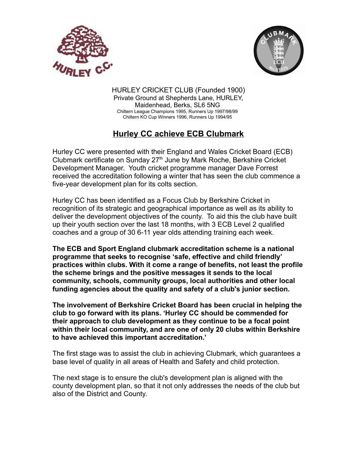



HURLEY CRICKET CLUB (Founded 1900) Private Ground at Shepherds Lane, HURLEY, Maidenhead, Berks, SL6 5NG Chiltern League Champions 1995, Runners Up 1997/98/99 Chiltern KO Cup Winners 1996, Runners Up 1994/95

## **Hurley CC achieve ECB Clubmark**

Hurley CC were presented with their England and Wales Cricket Board (ECB) Clubmark certificate on Sunday 27<sup>th</sup> June by Mark Roche, Berkshire Cricket Development Manager. Youth cricket programme manager Dave Forrest received the accreditation following a winter that has seen the club commence a five-year development plan for its colts section.

Hurley CC has been identified as a Focus Club by Berkshire Cricket in recognition of its strategic and geographical importance as well as its ability to deliver the development objectives of the county. To aid this the club have built up their youth section over the last 18 months, with 3 ECB Level 2 qualified coaches and a group of 30 6-11 year olds attending training each week.

**The ECB and Sport England clubmark accreditation scheme is a national programme that seeks to recognise 'safe, effective and child friendly' practices within clubs. With it come a range of benefits, not least the profile the scheme brings and the positive messages it sends to the local community, schools, community groups, local authorities and other local funding agencies about the quality and safety of a club's junior section.**

**The involvement of Berkshire Cricket Board has been crucial in helping the club to go forward with its plans. 'Hurley CC should be commended for their approach to club development as they continue to be a focal point within their local community, and are one of only 20 clubs within Berkshire to have achieved this important accreditation.'**

The first stage was to assist the club in achieving Clubmark, which guarantees a base level of quality in all areas of Health and Safety and child protection.

The next stage is to ensure the club's development plan is aligned with the county development plan, so that it not only addresses the needs of the club but also of the District and County.